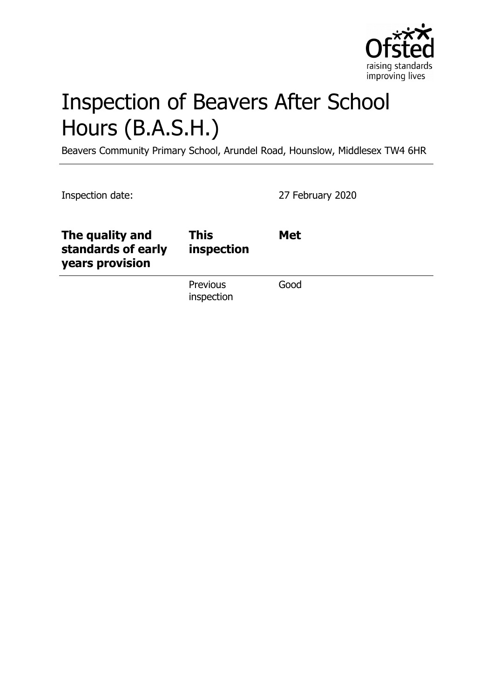

# Inspection of Beavers After School Hours (B.A.S.H.)

Beavers Community Primary School, Arundel Road, Hounslow, Middlesex TW4 6HR

Inspection date: 27 February 2020

| The quality and<br>standards of early<br>years provision | This<br>inspection            | <b>Met</b> |
|----------------------------------------------------------|-------------------------------|------------|
|                                                          | <b>Previous</b><br>inspection | Good       |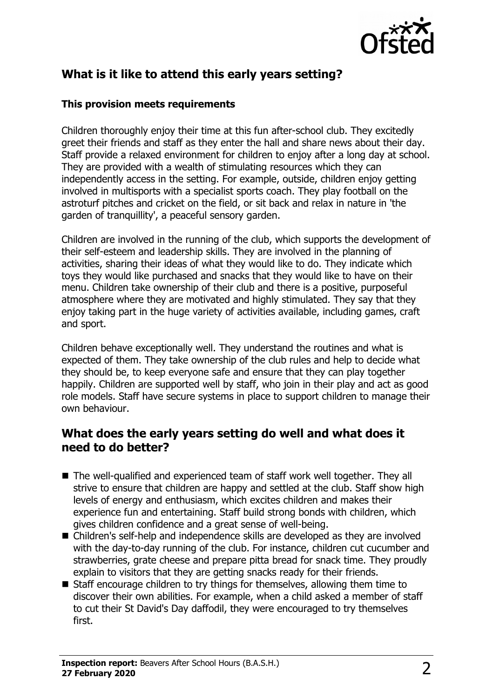

# **What is it like to attend this early years setting?**

#### **This provision meets requirements**

Children thoroughly enjoy their time at this fun after-school club. They excitedly greet their friends and staff as they enter the hall and share news about their day. Staff provide a relaxed environment for children to enjoy after a long day at school. They are provided with a wealth of stimulating resources which they can independently access in the setting. For example, outside, children enjoy getting involved in multisports with a specialist sports coach. They play football on the astroturf pitches and cricket on the field, or sit back and relax in nature in 'the garden of tranquillity', a peaceful sensory garden.

Children are involved in the running of the club, which supports the development of their self-esteem and leadership skills. They are involved in the planning of activities, sharing their ideas of what they would like to do. They indicate which toys they would like purchased and snacks that they would like to have on their menu. Children take ownership of their club and there is a positive, purposeful atmosphere where they are motivated and highly stimulated. They say that they enjoy taking part in the huge variety of activities available, including games, craft and sport.

Children behave exceptionally well. They understand the routines and what is expected of them. They take ownership of the club rules and help to decide what they should be, to keep everyone safe and ensure that they can play together happily. Children are supported well by staff, who join in their play and act as good role models. Staff have secure systems in place to support children to manage their own behaviour.

#### **What does the early years setting do well and what does it need to do better?**

- $\blacksquare$  The well-qualified and experienced team of staff work well together. They all strive to ensure that children are happy and settled at the club. Staff show high levels of energy and enthusiasm, which excites children and makes their experience fun and entertaining. Staff build strong bonds with children, which gives children confidence and a great sense of well-being.
- Children's self-help and independence skills are developed as they are involved with the day-to-day running of the club. For instance, children cut cucumber and strawberries, grate cheese and prepare pitta bread for snack time. They proudly explain to visitors that they are getting snacks ready for their friends.
- $\blacksquare$  Staff encourage children to try things for themselves, allowing them time to discover their own abilities. For example, when a child asked a member of staff to cut their St David's Day daffodil, they were encouraged to try themselves first.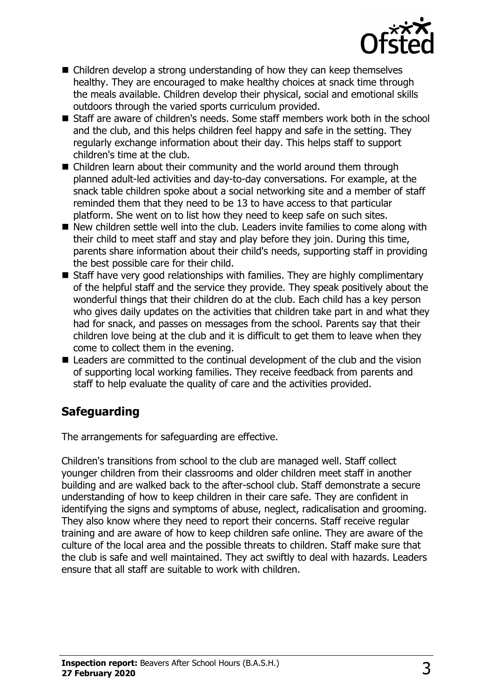

- $\blacksquare$  Children develop a strong understanding of how they can keep themselves healthy. They are encouraged to make healthy choices at snack time through the meals available. Children develop their physical, social and emotional skills outdoors through the varied sports curriculum provided.
- $\blacksquare$  Staff are aware of children's needs. Some staff members work both in the school and the club, and this helps children feel happy and safe in the setting. They regularly exchange information about their day. This helps staff to support children's time at the club.
- $\blacksquare$  Children learn about their community and the world around them through planned adult-led activities and day-to-day conversations. For example, at the snack table children spoke about a social networking site and a member of staff reminded them that they need to be 13 to have access to that particular platform. She went on to list how they need to keep safe on such sites.
- $\blacksquare$  New children settle well into the club. Leaders invite families to come along with their child to meet staff and stay and play before they join. During this time, parents share information about their child's needs, supporting staff in providing the best possible care for their child.
- $\blacksquare$  Staff have very good relationships with families. They are highly complimentary of the helpful staff and the service they provide. They speak positively about the wonderful things that their children do at the club. Each child has a key person who gives daily updates on the activities that children take part in and what they had for snack, and passes on messages from the school. Parents say that their children love being at the club and it is difficult to get them to leave when they come to collect them in the evening.
- $\blacksquare$  Leaders are committed to the continual development of the club and the vision of supporting local working families. They receive feedback from parents and staff to help evaluate the quality of care and the activities provided.

# **Safeguarding**

The arrangements for safeguarding are effective.

Children's transitions from school to the club are managed well. Staff collect younger children from their classrooms and older children meet staff in another building and are walked back to the after-school club. Staff demonstrate a secure understanding of how to keep children in their care safe. They are confident in identifying the signs and symptoms of abuse, neglect, radicalisation and grooming. They also know where they need to report their concerns. Staff receive regular training and are aware of how to keep children safe online. They are aware of the culture of the local area and the possible threats to children. Staff make sure that the club is safe and well maintained. They act swiftly to deal with hazards. Leaders ensure that all staff are suitable to work with children.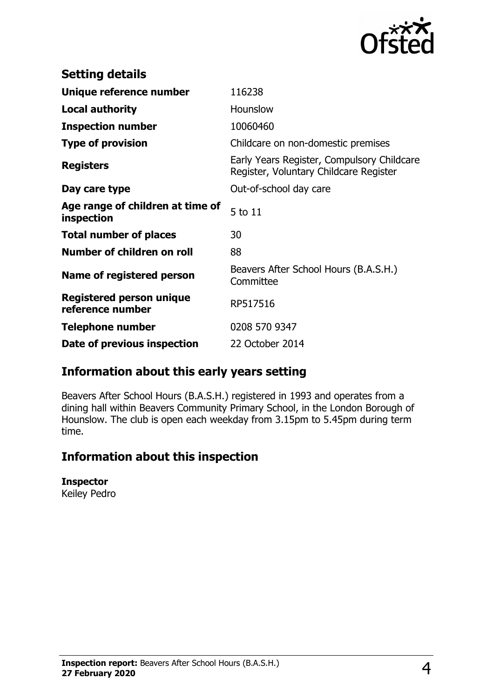

| <b>Setting details</b>                              |                                                                                      |
|-----------------------------------------------------|--------------------------------------------------------------------------------------|
| Unique reference number                             | 116238                                                                               |
| <b>Local authority</b>                              | Hounslow                                                                             |
| <b>Inspection number</b>                            | 10060460                                                                             |
| <b>Type of provision</b>                            | Childcare on non-domestic premises                                                   |
| <b>Registers</b>                                    | Early Years Register, Compulsory Childcare<br>Register, Voluntary Childcare Register |
| Day care type                                       | Out-of-school day care                                                               |
| Age range of children at time of<br>inspection      | 5 to 11                                                                              |
| <b>Total number of places</b>                       | 30                                                                                   |
| Number of children on roll                          | 88                                                                                   |
| Name of registered person                           | Beavers After School Hours (B.A.S.H.)<br>Committee                                   |
| <b>Registered person unique</b><br>reference number | RP517516                                                                             |
| <b>Telephone number</b>                             | 0208 570 9347                                                                        |
| Date of previous inspection                         | 22 October 2014                                                                      |

## **Information about this early years setting**

Beavers After School Hours (B.A.S.H.) registered in 1993 and operates from a dining hall within Beavers Community Primary School, in the London Borough of Hounslow. The club is open each weekday from 3.15pm to 5.45pm during term time.

### **Information about this inspection**

#### **Inspector**

Keiley Pedro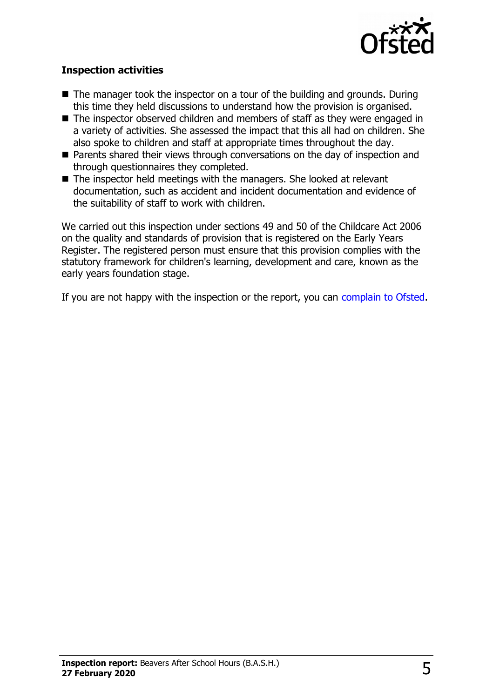

#### **Inspection activities**

- $\blacksquare$  The manager took the inspector on a tour of the building and grounds. During this time they held discussions to understand how the provision is organised.
- $\blacksquare$  The inspector observed children and members of staff as they were engaged in a variety of activities. She assessed the impact that this all had on children. She also spoke to children and staff at appropriate times throughout the day.
- $\blacksquare$  Parents shared their views through conversations on the day of inspection and through questionnaires they completed.
- The inspector held meetings with the managers. She looked at relevant documentation, such as accident and incident documentation and evidence of the suitability of staff to work with children.

We carried out this inspection under sections 49 and 50 of the Childcare Act 2006 on the quality and standards of provision that is registered on the Early Years Register. The registered person must ensure that this provision complies with the statutory framework for children's learning, development and care, known as the early years foundation stage.

If you are not happy with the inspection or the report, you can [complain to Ofsted.](http://www.gov.uk/complain-ofsted-report)